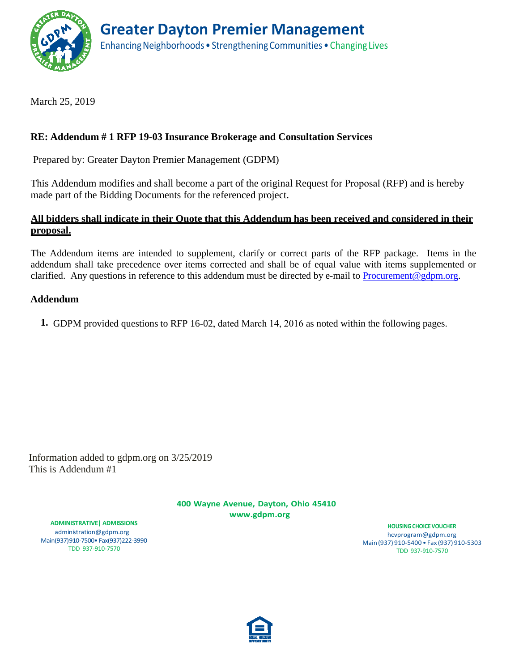

March 25, 2019

# **RE: Addendum # 1 RFP 19-03 Insurance Brokerage and Consultation Services**

Prepared by: Greater Dayton Premier Management (GDPM)

This Addendum modifies and shall become a part of the original Request for Proposal (RFP) and is hereby made part of the Bidding Documents for the referenced project.

## **All bidders shall indicate in their Quote that this Addendum has been received and considered in their proposal.**

The Addendum items are intended to supplement, clarify or correct parts of the RFP package. Items in the addendum shall take precedence over items corrected and shall be of equal value with items supplemented or clarified. Any questions in reference to this addendum must be directed by e-mail to [Procurement@gdpm.org.](mailto:Compliance@gdpm.org)

### **Addendum**

**1.** GDPM provided questions to RFP 16-02, dated March 14, 2016 as noted within the following pages.

Information added to gdpm.org on 3/25/2019 This is Addendum #1

> **400 Wayne Avenue, Dayton, Ohio 4541[0](http://www.gdpm.org/) [www.gdpm.org](http://www.gdpm.org/)**

**ADMINISTRATIVE| ADMISSIONS** [administration@gdpm.org](mailto:administration@gdpm.org) Main(937)910-7500• Fax(937)222-3990 TDD 937-910-7570

**HOUSINGCHOICEVOUCHER** [hcvprogram@gdpm.org](mailto:hcvprogram@gdpm.org) Main(937) 910-5400 • Fax (937) 910-5303 TDD 937-910-7570

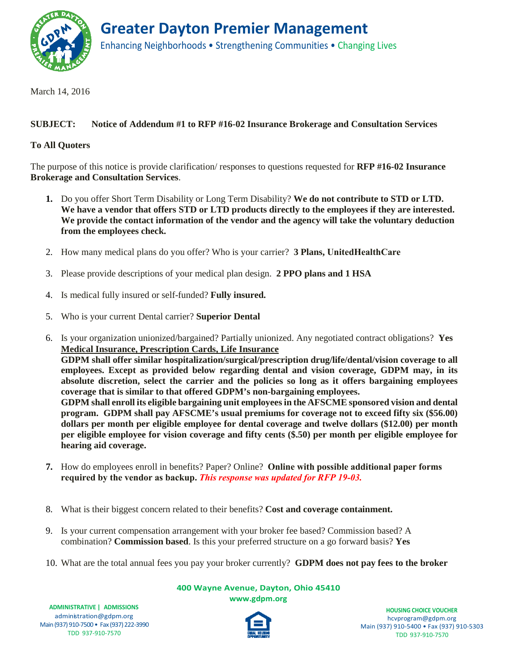

March 14, 2016

#### **SUBJECT: Notice of Addendum #1 to RFP #16-02 Insurance Brokerage and Consultation Services**

#### **To All Quoters**

The purpose of this notice is provide clarification/ responses to questions requested for **RFP #16-02 Insurance Brokerage and Consultation Services**.

- **1.** Do you offer Short Term Disability or Long Term Disability? **We do not contribute to STD or LTD. We have a vendor that offers STD or LTD products directly to the employees if they are interested. We provide the contact information of the vendor and the agency will take the voluntary deduction from the employees check.**
- 2. How many medical plans do you offer? Who is your carrier? **3 Plans, UnitedHealthCare**
- 3. Please provide descriptions of your medical plan design. **2 PPO plans and 1 HSA**
- 4. Is medical fully insured or self-funded? **Fully insured.**
- 5. Who is your current Dental carrier? **Superior Dental**
- 6. Is your organization unionized/bargained? Partially unionized. Any negotiated contract obligations? **Yes Medical Insurance, Prescription Cards, Life Insurance GDPM shall offer similar hospitalization/surgical/prescription drug/life/dental/vision coverage to all employees. Except as provided below regarding dental and vision coverage, GDPM may, in its absolute discretion, select the carrier and the policies so long as it offers bargaining employees coverage that is similar to that offered GDPM's non-bargaining employees. GDPM shall enroll its eligible bargaining unit employees in the AFSCME sponsored vision and dental program. GDPM shall pay AFSCME's usual premiums for coverage not to exceed fifty six (\$56.00) dollars per month per eligible employee for dental coverage and twelve dollars (\$12.00) per month per eligible employee for vision coverage and fifty cents (\$.50) per month per eligible employee for hearing aid coverage.**
- **7.** How do employees enroll in benefits? Paper? Online? **Online with possible additional paper forms required by the vendor as backup.** *This response was updated for RFP 19-03.*
- 8. What is their biggest concern related to their benefits? **Cost and coverage containment.**
- 9. Is your current compensation arrangement with your broker fee based? Commission based? A combination? **Commission based**. Is this your preferred structure on a go forward basis? **Yes**
- 10. What are the total annual fees you pay your broker currently? **GDPM does not pay fees to the broker**

**400 Wayne Avenue, Dayton, Ohio 45410 [www.gdpm.org](http://www.gdpm.org/)**